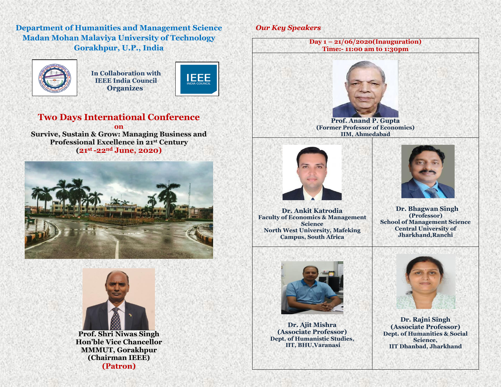**Department of Humanities and Management Science Madan Mohan Malaviya University of Technology Gorakhpur, U.P., India**



 **In Collaboration with IEEE India Council Organizes**



# **Two Days International Conference**

**on Survive, Sustain & Grow: Managing Business and Professional Excellence in 21st Century (21 st -22nd June, 2020)**





**Prof. Shri Niwas Singh Hon'ble Vice Chancellor MMMUT, Gorakhpur (Chairman IEEE) (Patron)**

### *Our Key Speakers*





**Dr. Ajit Mishra (Associate Professor) Dept. of Humanistic Studies, IIT, BHU,Varanasi**



**Dr. Rajni Singh (Associate Professor) Dept. of Humanities & Social Science, IIT Dhanbad, Jharkhand**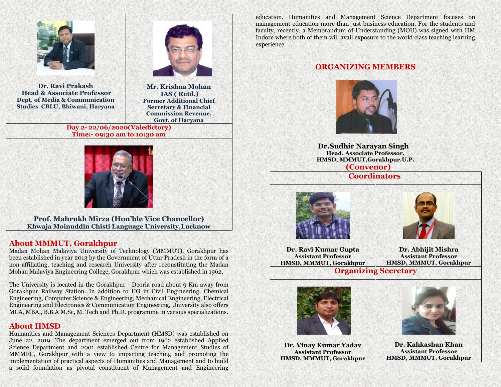

**Dr. Ravi Prakash Head & Associate Professor Dept. of Media & Communication Studies CBLU, Bhiwani, Haryana**

 **Mr. Krishna Mohan IAS ( Retd.) Former Additional Chief Secretary & Financial Commission Revenue, Govt. of Haryana**

**Day 2- 22/06/2020(Valedictory) Time:- 09:30 am to 10:30 am**



**Prof. Mahrukh Mirza (Hon'ble Vice Chancellor) Khwaja Moinuddin Chisti Language University,Lucknow**

#### **About MMMUT, Gorakhpur**

Madan Mohan Malaviya University of Technology (MMMUT), Gorakhpur has been established in year 2013 by the Government of Uttar Pradesh in the form of a non-affiliating, teaching and research University after reconstituting the Madan Mohan Malaviya Engineering College, Gorakhpur which was established in 1962.

The University is located in the Gorakhpur - Deoria road about 9 Km away from Gorakhpur Railway Station. In addition to UG in Civil Engineering, Chemical Engineering, Computer Science & Engineering, Mechanical Engineering, Electrical Engineering and Electronics & Communication Engineering, University also offers MCA, MBA., B.B.A M.Sc, M. Tech and Ph.D. programme in various specializations.

#### **About HMSD**

Humanities and Management Sciences Department (HMSD) was established on June 22, 2019. The department emerged out from 1962 established Applied Science Department and 2001 established Centre for Management Studies of MMMEC, Gorakhpur with a view to imparting teaching and promoting the implementation of practical aspects of Humanities and Management and to build a solid foundation as pivotal constituent of Management and Engineering education. Humanities and Management Science Department focuses on management education more than just business education. For the students and faculty, recently, a Memorandum of Understanding (MOU) was signed with IIM Indore where both of them will avail exposure to the world class teaching learning experience.

## **ORGANIZING MEMBERS**



 **Dr.Sudhir Narayan Singh Head, Associate Professor, HMSD, MMMUT,Gorakhpur.U.P. (Convenor)** 

 **Coordinators**





**Dr. Ravi Kumar Gupta Assistant Professor HMSD, MMMUT, Gorakhpur**

**Dr. Abhijit Mishra Assistant Professor HMSD, MMMUT, Gorakhpur**

**Organizing Secretary**



**Dr. Vinay Kumar Yadav Assistant Professor HMSD, MMMUT, Gorakhpur** 



**Dr. Kahkashan Khan Assistant Professor HMSD, MMMUT, Gorakhpur**